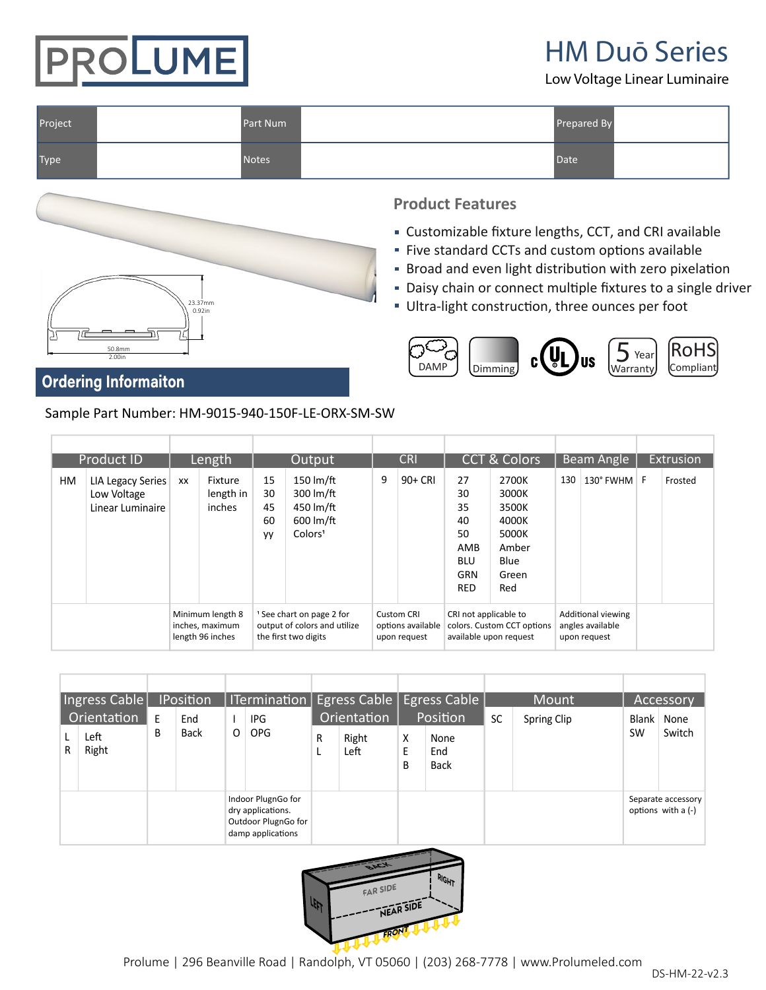

HM Duō Series Low Voltage Linear Luminaire

| Project | Part Num     | Prepared By |  |
|---------|--------------|-------------|--|
| Type    | <b>Notes</b> | Date        |  |



#### **Product Features**

- Customizable fixture lengths, CCT, and CRI available
- Five standard CCTs and custom options available
- **Broad and even light distribution with zero pixelation**
- Daisy chain or connect multiple fixtures to a single driver
- Ultra-light construction, three ounces per foot



#### **Ordering Informaiton**

Sample Part Number: HM-9015-940-150F-LE-ORX-SM-SW

| Product ID |    | Length                                                  |    | Output                         |                                                                                              | <b>CRI</b>                                                                              |                                                 | <b>CCT &amp; Colors</b>                                                       |                                                                             | Beam Angle                                                                 |                                                        | Extrusion   |  |         |
|------------|----|---------------------------------------------------------|----|--------------------------------|----------------------------------------------------------------------------------------------|-----------------------------------------------------------------------------------------|-------------------------------------------------|-------------------------------------------------------------------------------|-----------------------------------------------------------------------------|----------------------------------------------------------------------------|--------------------------------------------------------|-------------|--|---------|
|            | НM | LIA Legacy Series<br>Low Voltage<br>Linear Luminaire    | XX | Fixture<br>length in<br>inches | 15<br>30<br>45<br>60<br>yy                                                                   | 150 $Im/ft$<br>300 $Im/ft$<br>450 lm/ft<br>$600 \, \text{Im/ft}$<br>Colors <sup>1</sup> |                                                 | $90+CRI$                                                                      | 27<br>30<br>35<br>40<br>50<br>AMB<br><b>BLU</b><br><b>GRN</b><br><b>RED</b> | 2700K<br>3000K<br>3500K<br>4000K<br>5000K<br>Amber<br>Blue<br>Green<br>Red | 130                                                    | 130° FWHM F |  | Frosted |
|            |    | Minimum length 8<br>inches, maximum<br>length 96 inches |    |                                | <sup>1</sup> See chart on page 2 for<br>output of colors and utilize<br>the first two digits |                                                                                         | Custom CRI<br>options available<br>upon request | CRI not applicable to<br>colors. Custom CCT options<br>available upon request |                                                                             |                                                                            | Additional viewing<br>angles available<br>upon request |             |  |         |

| Ingress Cable |                              | <b>IPosition</b> |             |   |                                                                                     | ITermination   Egress Cable   Egress Cable |                              |             |                                        |           | Mount       | Accessory          |                                            |
|---------------|------------------------------|------------------|-------------|---|-------------------------------------------------------------------------------------|--------------------------------------------|------------------------------|-------------|----------------------------------------|-----------|-------------|--------------------|--------------------------------------------|
| R             | Orientation<br>Left<br>Right | E<br>В           | End<br>Back | 0 | IPG<br><b>OPG</b>                                                                   | R                                          | Orientation<br>Right<br>Left | X<br>E<br>B | Position<br>None<br>End<br><b>Back</b> | <b>SC</b> | Spring Clip | Blank<br><b>SW</b> | None<br>Switch                             |
|               |                              |                  |             |   | Indoor PlugnGo for<br>dry applications.<br>Outdoor PlugnGo for<br>damp applications |                                            |                              |             |                                        |           |             |                    | Separate accessory<br>options with a $(-)$ |

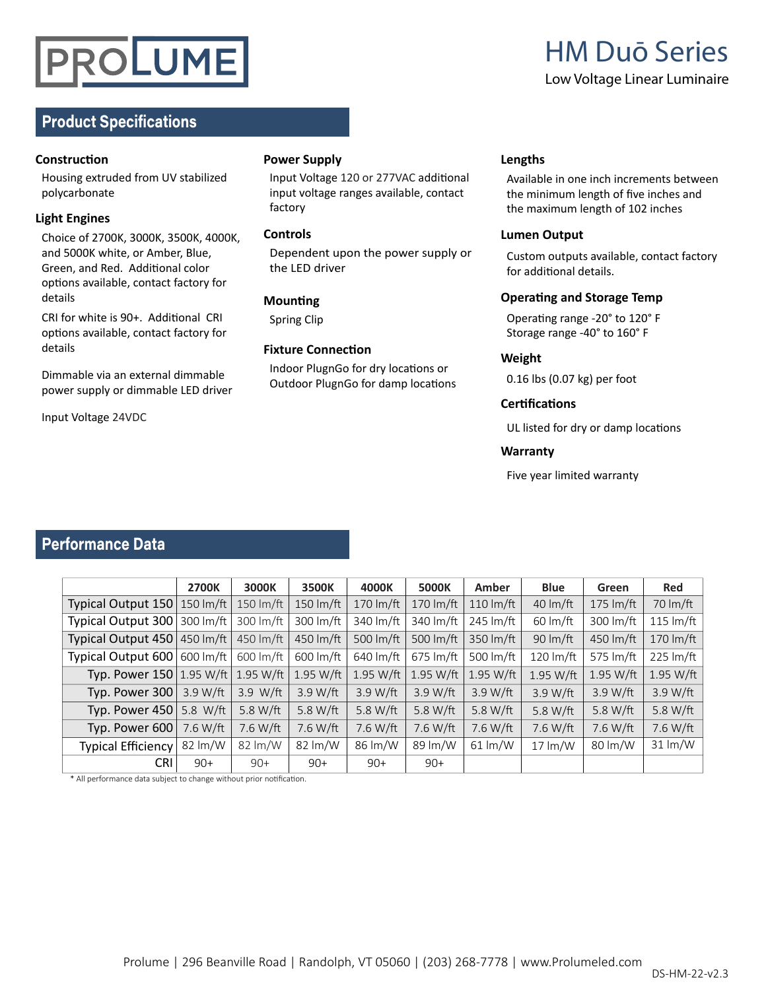## PROLUME

# HM Duō Series Low Voltage Linear Luminaire

#### **Product Specifications**

#### **ConstrucƟon**

Housing extruded from UV stabilized polycarbonate

#### **Light Engines**

Choice of 2700K, 3000K, 3500K, 4000K, and 5000K white, or Amber, Blue, Green, and Red. Additional color options available, contact factory for details

CRI for white is 90+. Additional CRI options available, contact factory for details

Dimmable via an external dimmable power supply or dimmable LED driver

Input Voltage 24VDC

#### **Power Supply**

Input Voltage 120 or 277VAC additional input voltage ranges available, contact factory

#### **Controls**

Dependent upon the power supply or the LED driver

#### **Mounting**

Spring Clip

#### **Fixture ConnecƟon**

Indoor PlugnGo for dry locations or Outdoor PlugnGo for damp locations

#### **Lengths**

Available in one inch increments between the minimum length of five inches and the maximum length of 102 inches

#### **Lumen Output**

Custom outputs available, contact factory for additional details.

#### **Operating and Storage Temp**

Operating range -20° to 120° F Storage range -40° to 160° F

#### **Weight**

0.16 lbs (0.07 kg) per foot

#### **CerƟficaƟons**

UL listed for dry or damp locations

#### **Warranty**

Five year limited warranty

#### **Performance Data**

|                                     | <b>2700K</b> | 3000K                 | 3500K              | 4000K              | 5000K                 | Amber               | <b>Blue</b>                | Green                 | <b>Red</b>  |
|-------------------------------------|--------------|-----------------------|--------------------|--------------------|-----------------------|---------------------|----------------------------|-----------------------|-------------|
| Typical Output 150   150 lm/ft      |              | 150 $\text{Im/ft}$    | 150 $\text{Im/ft}$ | 170 $\rm{Im/ft}$   | $170 \, \text{Im/ft}$ | 110 $\text{Im/ft}$  | 40 $Im/ft$                 | $175 \, \text{Im/ft}$ | 70 lm/ft    |
| Typical Output 300                  | 300 lm/ft    | 300 lm/ft             | 300 lm/ft          | 340 lm/ft          | 340 lm/ft             | 245 lm/ft           | $60 \, \text{Im/ft}$       | 300 lm/ft             | 115 $Im/ft$ |
| Typical Output 450                  | 450 lm/ft    | 450 lm/ft             | 450 lm/ft          | 500 $Im/ft$        | 500 lm/ft             | 350 lm/ft           | 90 lm/ft                   | 450 lm/ft             | 170 $Im/ft$ |
| Typical Output 600                  | 600 lm/ft    | $600 \, \text{Im/ft}$ | 600 lm/ft          | 640 lm/ft          | $675 \, \text{Im/ft}$ | 500 lm/ft           | 120 lm/ft                  | 575 lm/ft             | 225 lm/ft   |
| <b>Typ. Power 150   1.95 W/ft  </b> |              | $1.95 W/\text{ft}$    | 1.95 W/ft          | $1.95 W/\text{ft}$ | $1.95$ W/ft           | 1.95 W/ft           | 1.95 W/ft                  | 1.95 W/ft             | 1.95 W/ft   |
| Typ. Power 300                      | 3.9 W/ft     | 3.9 Wft               | 3.9 W/ft           | 3.9 W/ft           | 3.9 Wft               | $3.9 W/\text{ft}$   | 3.9 W/ft                   | 3.9 Wft               | 3.9 W/ft    |
| Typ. Power 450                      | 5.8 W/ft     | 5.8 W/ft              | 5.8 W/ft           | 5.8 W/ft           | 5.8 W/ft              | 5.8 W/ft            | 5.8 W/ft                   | 5.8 W/ft              | 5.8 W/ft    |
| Typ. Power 600                      | 7.6 W/ft     | 7.6 W/ft              | 7.6 W/ft           | 7.6 W/ft           | 7.6 W/ft              | 7.6 W/ft            | 7.6 W/ft                   | 7.6 W/ft              | 7.6 W/ft    |
| <b>Typical Efficiency</b>           | 82 lm/W      | 82 lm/W               | 82 lm/W            | 86 lm/W            | 89 lm/W               | $61 \, \text{Im/W}$ | $17 \, \text{Im}/\text{W}$ | 80 lm/W               | 31 lm/W     |
| <b>CRI</b>                          | $90+$        | $90+$                 | $90+$              | $90+$              | $90+$                 |                     |                            |                       |             |

\* All performance data subject to change without prior notification.